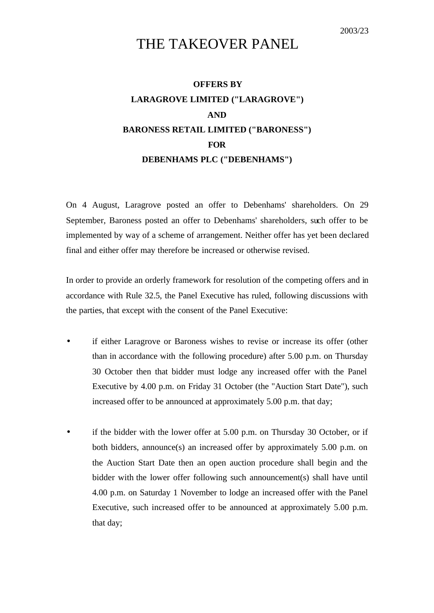## THE TAKEOVER PANEL

## **OFFERS BY LARAGROVE LIMITED ("LARAGROVE") AND BARONESS RETAIL LIMITED ("BARONESS") FOR DEBENHAMS PLC ("DEBENHAMS")**

On 4 August, Laragrove posted an offer to Debenhams' shareholders. On 29 September, Baroness posted an offer to Debenhams' shareholders, such offer to be implemented by way of a scheme of arrangement. Neither offer has yet been declared final and either offer may therefore be increased or otherwise revised.

In order to provide an orderly framework for resolution of the competing offers and in accordance with Rule 32.5, the Panel Executive has ruled, following discussions with the parties, that except with the consent of the Panel Executive:

- if either Laragrove or Baroness wishes to revise or increase its offer (other than in accordance with the following procedure) after 5.00 p.m. on Thursday 30 October then that bidder must lodge any increased offer with the Panel Executive by 4.00 p.m. on Friday 31 October (the "Auction Start Date"), such increased offer to be announced at approximately 5.00 p.m. that day;
- if the bidder with the lower offer at 5.00 p.m. on Thursday 30 October, or if both bidders, announce(s) an increased offer by approximately 5.00 p.m. on the Auction Start Date then an open auction procedure shall begin and the bidder with the lower offer following such announcement(s) shall have until 4.00 p.m. on Saturday 1 November to lodge an increased offer with the Panel Executive, such increased offer to be announced at approximately 5.00 p.m. that day;